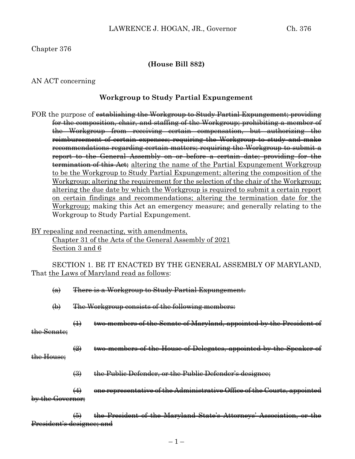### Chapter 376

#### **(House Bill 882)**

#### AN ACT concerning

#### **Workgroup to Study Partial Expungement**

FOR the purpose of establishing the Workgroup to Study Partial Expungement; providing for the composition, chair, and staffing of the Workgroup; prohibiting a member of the Workgroup from receiving certain compensation, but authorizing the reimbursement of certain expenses; requiring the Workgroup to study and make recommendations regarding certain matters; requiring the Workgroup to submit a report to the General Assembly on or before a certain date; providing for the termination of this Act; altering the name of the Partial Expungement Workgroup to be the Workgroup to Study Partial Expungement; altering the composition of the Workgroup; altering the requirement for the selection of the chair of the Workgroup: altering the due date by which the Workgroup is required to submit a certain report on certain findings and recommendations; altering the termination date for the Workgroup; making this Act an emergency measure; and generally relating to the Workgroup to Study Partial Expungement.

BY repealing and reenacting, with amendments, Chapter 31 of the Acts of the General Assembly of 2021 Section 3 and 6

SECTION 1. BE IT ENACTED BY THE GENERAL ASSEMBLY OF MARYLAND, That the Laws of Maryland read as follows:

|             | $\left(\mathbf{a}\right)$ |                            | There is a Workgroup to Study Partial Expungement.                                                 |
|-------------|---------------------------|----------------------------|----------------------------------------------------------------------------------------------------|
|             | $\bigoplus$               |                            | The Workgroup consists of the following members:                                                   |
| the Senate; |                           | $\leftrightarrow$          | two members of the Senate of Maryland, appointed by the President                                  |
| the House;  |                           | $\left( 2 \right)$         | the House of Delegates, appointed by the Spea                                                      |
|             |                           | $\left(\frac{3}{2}\right)$ | the Public Defender, or the Public Defender's designee;                                            |
|             | by the Governor;          | $\leftrightarrow$          | one representative of the Administrative Office of the Courts, appointed                           |
|             |                           | $\biguplus$                | the President of the Maryland State's Attorneys' Association,<br>r <del>dent's designee; and</del> |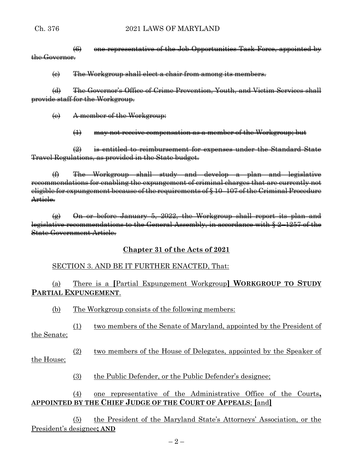$(6)$  one representative of the Job Opportunities Task Force, appointed by the Governor.

 $\Theta$  The Workgroup shall elect a chair from among its members.

(d) The Governor's Office of Crime Prevention, Youth, and Victim Services shall provide staff for the Workgroup.

(e) A member of the Workgroup:

(1) may not receive compensation as a member of the Workgroup; but

 $\left( 2\right)$  is entitled to reimbursement for expenses under the Standard State Travel Regulations, as provided in the State budget.

(f) The Workgroup shall study and develop a plan and legislative recommendations for enabling the expungement of criminal charges that are currently not eligible for expungement because of the requirements of § 10–107 of the Criminal Procedure Article.

 $\left(\frac{a}{b}\right)$  On or before January 5, 2022, the Workgroup shall report its plan and legislative recommendations to the General Assembly, in accordance with § 2–1257 of the State Government Article.

### **Chapter 31 of the Acts of 2021**

### SECTION 3. AND BE IT FURTHER ENACTED, That:

# (a) There is a **[**Partial Expungement Workgroup**] WORKGROUP TO STUDY PARTIAL EXPUNGEMENT**.

(b) The Workgroup consists of the following members:

(1) two members of the Senate of Maryland, appointed by the President of the Senate;

(2) two members of the House of Delegates, appointed by the Speaker of the House;

(3) the Public Defender, or the Public Defender's designee;

## (4) one representative of the Administrative Office of the Courts**, APPOINTED BY THE CHIEF JUDGE OF THE COURT OF APPEALS**; **[**and**]**

(5) the President of the Maryland State's Attorneys' Association, or the President's designee**; AND**